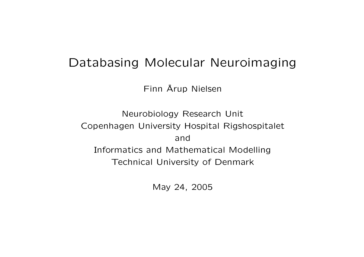#### Databasing Molecular Neuroimaging

Finn Å Arup Nielsen

Neurobiology Research Unit Copenhagen University Hospital Rigshospitalet and Informatics and Mathematical Modelling Technical University of Denmark

May 24, 2005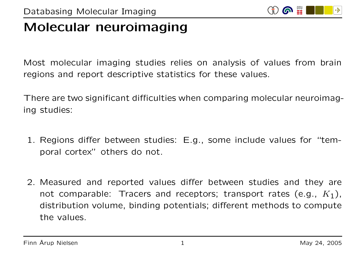

# Molecular neuroimaging

Most molecular imaging studies relies on analysis of values from brain regions and report descriptive statistics for these values.

There are two significant difficulties when comparing molecular neuroimaging studies:

- 1. Regions differ between studies: E.g., some include values for "temporal cortex" others do not.
- 2. Measured and reported values differ between studies and they are not comparable: Tracers and receptors; transport rates (e.g.,  $K_1$ ), distribution volume, binding potentials; different methods to compute the values.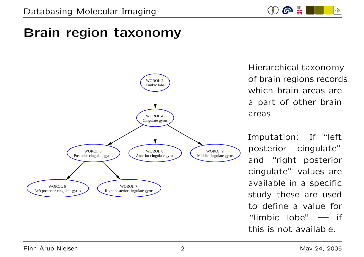

# Brain region taxonomy



Hierarchical taxonomy of brain regions records which brain areas are <sup>a</sup> part of other brain areas.

Imputation: If "left posterior cingulate" and "right posterior cingulate" values are available in <sup>a</sup> specific study these are used to define a value for "limbic lobe" — if this is not available.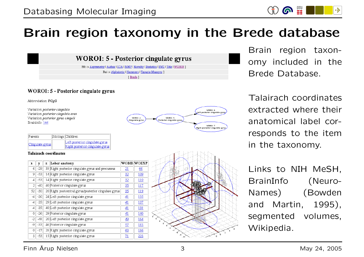# Brain region taxonomy in the Brede database

**WOROI: 5 - Posterior cingulate gyrus** 

Bib -> Asymmetry | Author | ICA | NMF | Novelty | Statistics | SVD | Title | WOBIB ] Roi-> Alphabetic | Hammers | Tzourio-Mazoyer ] [Brede]

#### **WOROI: 5 - Posterior cingulate gyrus**

Abbreviation: PCgG

Variation: posterior cingulate Variation: posterior cingulate area Variation: posterior gyrus cinguli BrainInfo: 144

| Parents         | Siblings Children                                                 |
|-----------------|-------------------------------------------------------------------|
| Cingulate gyrus | Left posterior cingulate gyrus<br>Right posterior cingulate gyrus |

#### **Talairach coordinates**

| x   | v     | z | Lobar anatomy                                        |            | WOBIB  WOEXP |
|-----|-------|---|------------------------------------------------------|------------|--------------|
| 6   | $-29$ |   | 38 Right posterior cingulate gyrus and precuneus     | <u> 21</u> | <u>66</u>    |
| 9   | -53   |   | 14 Right posterior cingulate gyrus                   |            | <u>109</u>   |
| 4   | -53   |   | 14 Right posterior cingulate gyrus                   | 32         | <u>110</u>   |
| 2   | $-40$ |   | 40 Posterior cingulate gyrus                         | 35         | 117          |
| 52  | $-30$ |   | 20 Right postcentral gyrus/posterior cingulate gyrus | 35         | 119          |
| -4  | $-36$ |   | 24 Left posterior cingulate gyrus                    | 41         | 135          |
| -4  | $-35$ |   | 29 Left posterior cingulate gyrus                    | 41         | 137          |
| -4  | $-35$ |   | 40 Left posterior cingulate gyrus                    | 41         | 138          |
| 0   | $-26$ |   | 29 Posterior cingulate gyrus                         | 41         | <u>140</u>   |
| -21 | $-48$ |   | 20 Left posterior cingulate gyrus                    | 49         | 164          |
| -9  | $-33$ |   | 46 Posterior cingulate gyrus                         | 57         | 183          |
| 0   | $-17$ |   | 28 Right posterior cingulate gyrus                   | 60         | <u>186</u>   |
| 3   | $-53$ |   | 15 Right posterior cingulate gyrus                   | 71         | 223          |





Brain region taxonomy included in the Brede Database.

 $\omega$ 

-34

Talairach coordinates extracted where their anatomical label corresponds to the item in the taxonomy.

Links to NIH MeSH, BrainInfo (Neuro-Names) (Bowden and Martin, 1995), segmented volumes, Wikipedia.

#### Finn Å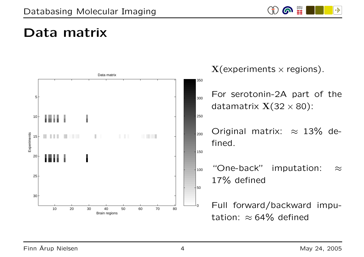

# Data matrix



 $X$ (experiments  $\times$  regions).

For serotonin-2A part of the datamatrix  $X(32 \times 80)$ :

Original matrix:  $\approx$  13% defined.

"One-back" imputation:  $\approx$ 17% defined

Full forward/backward imputation:  $\approx$  64% defined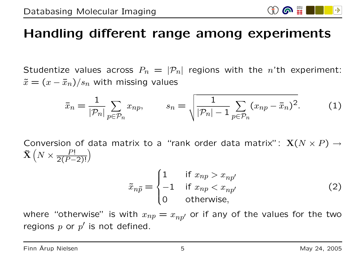# Handling different range among experiments

Studentize values across  $P_n = |\mathcal{P}_n|$  regions with the *n*'th experiment:  $\tilde{x} = (x - \bar{x}_n)/s_n$  with missing values

$$
\bar{x}_n = \frac{1}{|\mathcal{P}_n|} \sum_{p \in \mathcal{P}_n} x_{np}, \qquad s_n = \sqrt{\frac{1}{|\mathcal{P}_n| - 1} \sum_{p \in \mathcal{P}_n} (x_{np} - \bar{x}_n)^2}.
$$
 (1)

Conversion of data matrix to a "rank order data matrix":  $\mathbf{X}(N \times P) \rightarrow$  $\mathbf{\tilde{X}}\left(N\times\frac{P!}{2(P-2)!}\right)$ 

$$
\tilde{x}_{n\tilde{p}} = \begin{cases}\n1 & \text{if } x_{np} > x_{np'} \\
-1 & \text{if } x_{np} < x_{np'} \\
0 & \text{otherwise,} \n\end{cases}
$$
\n(2)

where "otherwise" is with  $x_{np} = x_{np'}$  or if any of the values for the two regions p or  $p'$  is not defined.

6 里

l S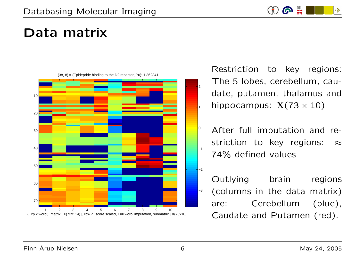

# Data matrix



Restriction to key regions: The 5 lobes, cerebellum, caudate, putamen, thalamus and hippocampus:  $X(73 \times 10)$ 

After full imputation and restriction to key regions:  $\approx$ 74% defined values

Outlying brain regions (columns in the data matrix) are: Cerebellum (blue), Caudate and Putamen (red).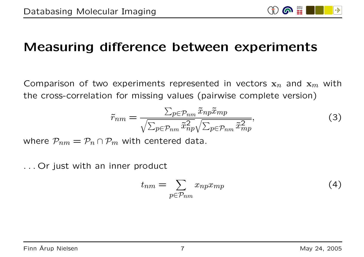

### Measuring difference between experiments

Comparison of two experiments represented in vectors  $x_n$  and  $x_m$  with the cross-correlation for missing values (pairwise complete version)

$$
\tilde{r}_{nm} = \frac{\sum_{p \in \mathcal{P}_{nm}} \tilde{x}_{np} \tilde{x}_{mp}}{\sqrt{\sum_{p \in \mathcal{P}_{nm}} \tilde{x}_{np}^2} \sqrt{\sum_{p \in \mathcal{P}_{nm}} \tilde{x}_{mp}^2}},\tag{3}
$$

where  $P_{nm} = P_n \cap P_m$  with centered data.

. . . Or just with an inner product

$$
t_{nm} = \sum_{p \in \mathcal{P}_{nm}} x_{np} x_{mp} \tag{4}
$$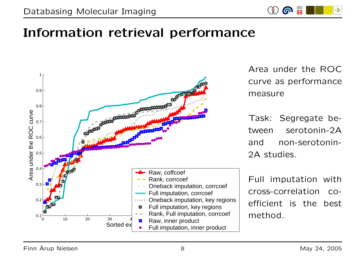

### Information retrieval performance

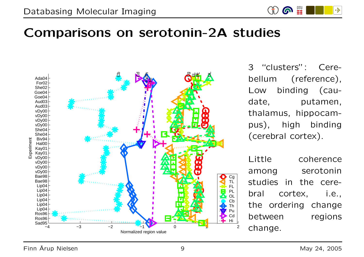

#### Comparisons on serotonin-2A studies



3 "clusters": Cerebellum (reference), Low binding (caudate, putamen, thalamus, hippocampus), high binding (cerebral cortex).

Little coherence among serotonin studies in the cerebral cortex, i.e., the ordering change between regions change.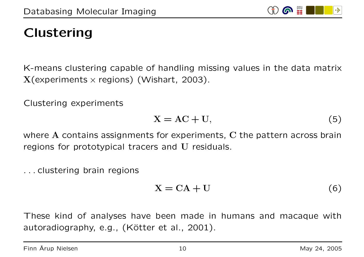# Clustering

K-means clustering capable of handling missing values in the data matrix  $X$ (experiments  $\times$  regions) (Wishart, 2003).

Clustering experiments

$$
X = AC + U,\t(5)
$$

where  $A$  contains assignments for experiments,  $C$  the pattern across brain regions for prototypical tracers and U residuals.

. . . clustering brain regions

$$
X = CA + U \tag{6}
$$

These kind of analyses have been made in humans and macaque with autoradiography, e.g., (Kötter et al., 2001).

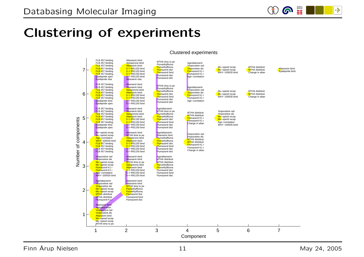

### Clustering of experiments



#### Clustered experiments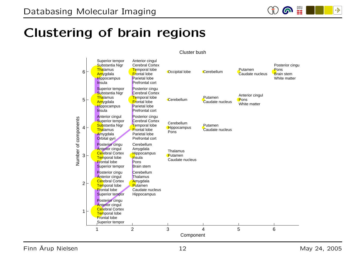

### Clustering of brain regions



Cluster bush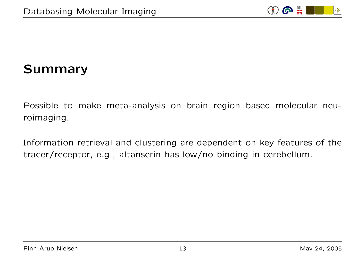

# Summary

Possible to make meta-analysis on brain region based molecular neuroimaging.

Information retrieval and clustering are dependent on key features of the tracer/receptor, e.g., altanserin has low/no binding in cerebellum.